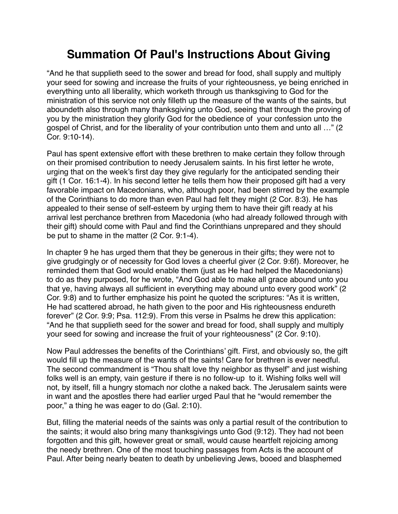## **Summation Of Paul's Instructions About Giving**

"And he that supplieth seed to the sower and bread for food, shall supply and multiply your seed for sowing and increase the fruits of your righteousness, ye being enriched in everything unto all liberality, which worketh through us thanksgiving to God for the ministration of this service not only filleth up the measure of the wants of the saints, but aboundeth also through many thanksgiving unto God, seeing that through the proving of you by the ministration they glorify God for the obedience of your confession unto the gospel of Christ, and for the liberality of your contribution unto them and unto all …" (2 Cor. 9:10-14).

Paul has spent extensive effort with these brethren to make certain they follow through on their promised contribution to needy Jerusalem saints. In his first letter he wrote, urging that on the week's first day they give regularly for the anticipated sending their gift (1 Cor. 16:1-4). In his second letter he tells them how their proposed gift had a very favorable impact on Macedonians, who, although poor, had been stirred by the example of the Corinthians to do more than even Paul had felt they might (2 Cor. 8:3). He has appealed to their sense of self-esteem by urging them to have their gift ready at his arrival lest perchance brethren from Macedonia (who had already followed through with their gift) should come with Paul and find the Corinthians unprepared and they should be put to shame in the matter (2 Cor. 9:1-4).

In chapter 9 he has urged them that they be generous in their gifts; they were not to give grudgingly or of necessity for God loves a cheerful giver (2 Cor. 9:6f). Moreover, he reminded them that God would enable them (just as He had helped the Macedonians) to do as they purposed, for he wrote, "And God able to make all grace abound unto you that ye, having always all sufficient in everything may abound unto every good work" (2 Cor. 9:8) and to further emphasize his point he quoted the scriptures: "As it is written, He had scattered abroad, he hath given to the poor and His righteousness endureth forever" (2 Cor. 9:9; Psa. 112:9). From this verse in Psalms he drew this application: "And he that supplieth seed for the sower and bread for food, shall supply and multiply your seed for sowing and increase the fruit of your righteousness" (2 Cor. 9:10).

Now Paul addresses the benefits of the Corinthians' gift. First, and obviously so, the gift would fill up the measure of the wants of the saints! Care for brethren is ever needful. The second commandment is "Thou shalt love thy neighbor as thyself" and just wishing folks well is an empty, vain gesture if there is no follow-up to it. Wishing folks well will not, by itself, fill a hungry stomach nor clothe a naked back. The Jerusalem saints were in want and the apostles there had earlier urged Paul that he "would remember the poor," a thing he was eager to do (Gal. 2:10).

But, filling the material needs of the saints was only a partial result of the contribution to the saints; it would also bring many thanksgivings unto God (9:12). They had not been forgotten and this gift, however great or small, would cause heartfelt rejoicing among the needy brethren. One of the most touching passages from Acts is the account of Paul. After being nearly beaten to death by unbelieving Jews, booed and blasphemed